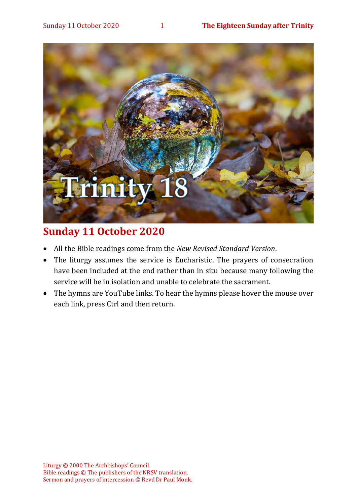

## **Sunday 11 October 2020**

- All the Bible readings come from the *New Revised Standard Version*.
- The liturgy assumes the service is Eucharistic. The prayers of consecration have been included at the end rather than in situ because many following the service will be in isolation and unable to celebrate the sacrament.
- The hymns are YouTube links. To hear the hymns please hover the mouse over each link, press Ctrl and then return.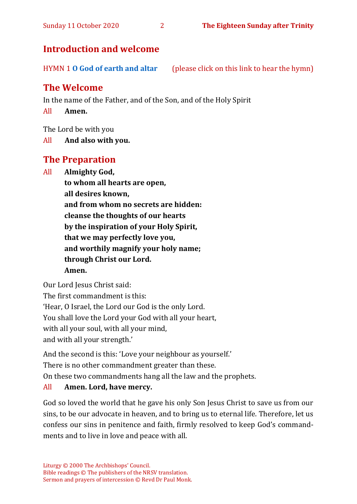## **Introduction and welcome**

HYMN 1 **[O God of earth and altar](https://www.youtube.com/watch?v=wFG-CqYXyOo)** (please click on this link to hear the hymn)

## **The Welcome**

In the name of the Father, and of the Son, and of the Holy Spirit

All **Amen.**

The Lord be with you

All **And also with you.**

## **The Preparation**

All **Almighty God,**

**to whom all hearts are open, all desires known, and from whom no secrets are hidden: cleanse the thoughts of our hearts by the inspiration of your Holy Spirit, that we may perfectly love you, and worthily magnify your holy name; through Christ our Lord. Amen.**

Our Lord Jesus Christ said:

The first commandment is this:

'Hear, O Israel, the Lord our God is the only Lord.

You shall love the Lord your God with all your heart,

with all your soul, with all your mind,

and with all your strength.'

And the second is this: 'Love your neighbour as yourself.'

There is no other commandment greater than these.

On these two commandments hang all the law and the prophets.

#### All **Amen. Lord, have mercy.**

God so loved the world that he gave his only Son Jesus Christ to save us from our sins, to be our advocate in heaven, and to bring us to eternal life. Therefore, let us confess our sins in penitence and faith, firmly resolved to keep God's commandments and to live in love and peace with all.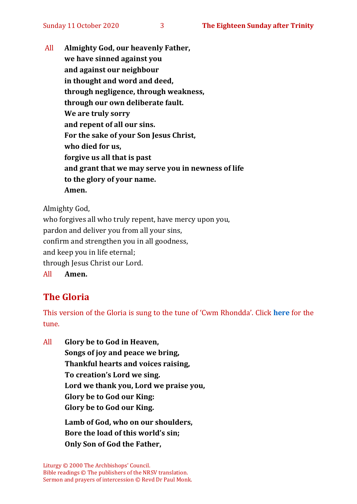All **Almighty God, our heavenly Father, we have sinned against you and against our neighbour in thought and word and deed, through negligence, through weakness, through our own deliberate fault. We are truly sorry and repent of all our sins. For the sake of your Son Jesus Christ, who died for us, forgive us all that is past and grant that we may serve you in newness of life to the glory of your name. Amen.**

Almighty God,

who forgives all who truly repent, have mercy upon you, pardon and deliver you from all your sins, confirm and strengthen you in all goodness, and keep you in life eternal; through Jesus Christ our Lord. All **Amen.**

## **The Gloria**

This version of the Gloria is sung to the tune of 'Cwm Rhondda'. Click **[here](about:blank)** for the tune.

All **Glory be to God in Heaven, Songs of joy and peace we bring, Thankful hearts and voices raising, To creation's Lord we sing. Lord we thank you, Lord we praise you, Glory be to God our King: Glory be to God our King.**

> **Lamb of God, who on our shoulders, Bore the load of this world's sin; Only Son of God the Father,**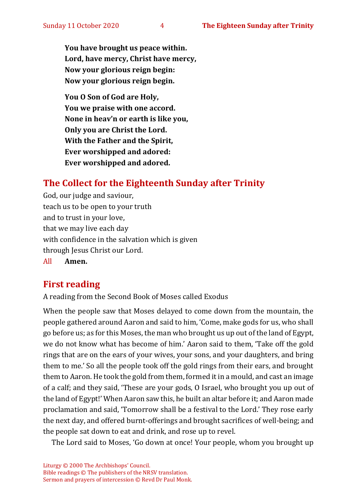**You have brought us peace within. Lord, have mercy, Christ have mercy, Now your glorious reign begin: Now your glorious reign begin.**

**You O Son of God are Holy, You we praise with one accord. None in heav'n or earth is like you, Only you are Christ the Lord. With the Father and the Spirit, Ever worshipped and adored: Ever worshipped and adored.**

## **The Collect for the Eighteenth Sunday after Trinity**

God, our judge and saviour, teach us to be open to your truth and to trust in your love, that we may live each day with confidence in the salvation which is given through Jesus Christ our Lord. All **Amen.**

## **First reading**

A reading from the Second Book of Moses called Exodus

When the people saw that Moses delayed to come down from the mountain, the people gathered around Aaron and said to him, 'Come, make gods for us, who shall go before us; as for this Moses, the man who brought us up out of the land of Egypt, we do not know what has become of him.' Aaron said to them, 'Take off the gold rings that are on the ears of your wives, your sons, and your daughters, and bring them to me.' So all the people took off the gold rings from their ears, and brought them to Aaron. He took the gold from them, formed it in a mould, and cast an image of a calf; and they said, 'These are your gods, O Israel, who brought you up out of the land of Egypt!' When Aaron saw this, he built an altar before it; and Aaron made proclamation and said, 'Tomorrow shall be a festival to the Lord.' They rose early the next day, and offered burnt-offerings and brought sacrifices of well-being; and the people sat down to eat and drink, and rose up to revel.

The Lord said to Moses, 'Go down at once! Your people, whom you brought up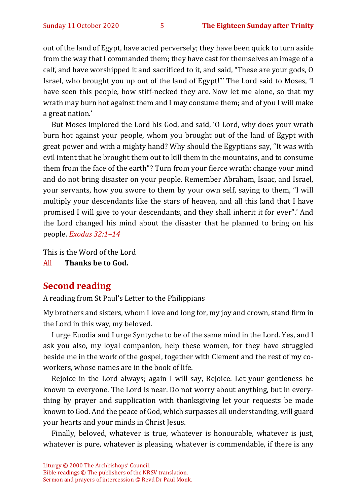out of the land of Egypt, have acted perversely; they have been quick to turn aside from the way that I commanded them; they have cast for themselves an image of a calf, and have worshipped it and sacrificed to it, and said, "These are your gods, O Israel, who brought you up out of the land of Egypt!"' The Lord said to Moses, 'I have seen this people, how stiff-necked they are. Now let me alone, so that my wrath may burn hot against them and I may consume them; and of you I will make a great nation.'

But Moses implored the Lord his God, and said, 'O Lord, why does your wrath burn hot against your people, whom you brought out of the land of Egypt with great power and with a mighty hand? Why should the Egyptians say, "It was with evil intent that he brought them out to kill them in the mountains, and to consume them from the face of the earth"? Turn from your fierce wrath; change your mind and do not bring disaster on your people. Remember Abraham, Isaac, and Israel, your servants, how you swore to them by your own self, saying to them, "I will multiply your descendants like the stars of heaven, and all this land that I have promised I will give to your descendants, and they shall inherit it for ever".' And the Lord changed his mind about the disaster that he planned to bring on his people. *Exodus 32:1–14*

This is the Word of the Lord

All **Thanks be to God.**

#### **Second reading**

A reading from St Paul's Letter to the Philippians

My brothers and sisters, whom I love and long for, my joy and crown, stand firm in the Lord in this way, my beloved.

I urge Euodia and I urge Syntyche to be of the same mind in the Lord. Yes, and I ask you also, my loyal companion, help these women, for they have struggled beside me in the work of the gospel, together with Clement and the rest of my coworkers, whose names are in the book of life.

Rejoice in the Lord always; again I will say, Rejoice. Let your gentleness be known to everyone. The Lord is near. Do not worry about anything, but in everything by prayer and supplication with thanksgiving let your requests be made known to God. And the peace of God, which surpasses all understanding, will guard your hearts and your minds in Christ Jesus.

Finally, beloved, whatever is true, whatever is honourable, whatever is just, whatever is pure, whatever is pleasing, whatever is commendable, if there is any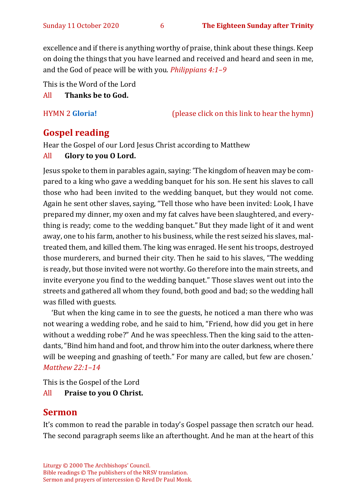excellence and if there is anything worthy of praise, think about these things. Keep on doing the things that you have learned and received and heard and seen in me, and the God of peace will be with you. *Philippians 4:1–9* 

This is the Word of the Lord

#### All **Thanks be to God.**

HYMN 2 **[Gloria!](https://www.youtube.com/watch?v=c60A4K7c7xo)** (please click on this link to hear the hymn)

## **Gospel reading**

Hear the Gospel of our Lord Jesus Christ according to Matthew

#### All **Glory to you O Lord.**

Jesus spoke to them in parables again, saying: 'The kingdom of heaven may be compared to a king who gave a wedding banquet for his son. He sent his slaves to call those who had been invited to the wedding banquet, but they would not come. Again he sent other slaves, saying, "Tell those who have been invited: Look, I have prepared my dinner, my oxen and my fat calves have been slaughtered, and everything is ready; come to the wedding banquet." But they made light of it and went away, one to his farm, another to his business, while the rest seized his slaves, maltreated them, and killed them. The king was enraged. He sent his troops, destroyed those murderers, and burned their city. Then he said to his slaves, "The wedding is ready, but those invited were not worthy. Go therefore into the main streets, and invite everyone you find to the wedding banquet." Those slaves went out into the streets and gathered all whom they found, both good and bad; so the wedding hall was filled with guests.

'But when the king came in to see the guests, he noticed a man there who was not wearing a wedding robe, and he said to him, "Friend, how did you get in here without a wedding robe?" And he was speechless. Then the king said to the attendants, "Bind him hand and foot, and throw him into the outer darkness, where there will be weeping and gnashing of teeth." For many are called, but few are chosen.' *Matthew 22:1–14*

This is the Gospel of the Lord

All **Praise to you O Christ.** 

#### **Sermon**

It's common to read the parable in today's Gospel passage then scratch our head. The second paragraph seems like an afterthought. And he man at the heart of this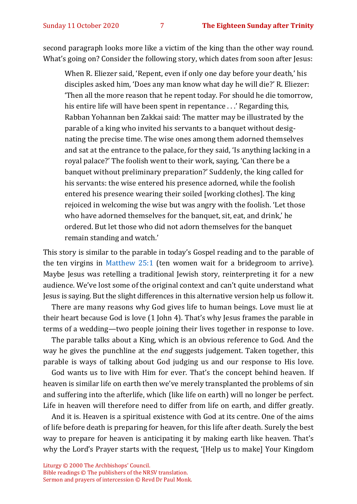second paragraph looks more like a victim of the king than the other way round. What's going on? Consider the following story, which dates from soon after Jesus:

When R. Eliezer said, 'Repent, even if only one day before your death,' his disciples asked him, 'Does any man know what day he will die?' R. Eliezer: 'Then all the more reason that he repent today. For should he die tomorrow, his entire life will have been spent in repentance . . .' Regarding this, Rabban Yohannan ben Zakkai said: The matter may be illustrated by the parable of a king who invited his servants to a banquet without designating the precise time. The wise ones among them adorned themselves and sat at the entrance to the palace, for they said, 'Is anything lacking in a royal palace?' The foolish went to their work, saying, 'Can there be a banquet without preliminary preparation?' Suddenly, the king called for his servants: the wise entered his presence adorned, while the foolish entered his presence wearing their soiled [working clothes]. The king rejoiced in welcoming the wise but was angry with the foolish. 'Let those who have adorned themselves for the banquet, sit, eat, and drink,' he ordered. But let those who did not adorn themselves for the banquet remain standing and watch.'

This story is similar to the parable in today's Gospel reading and to the parable of the ten virgins in [Matthew 25:1](https://www.biblegateway.com/passage/?search=matthew+25%3A1-13&version=NRSVA) (ten women wait for a bridegroom to arrive). Maybe Jesus was retelling a traditional Jewish story, reinterpreting it for a new audience. We've lost some of the original context and can't quite understand what Jesus is saying. But the slight differences in this alternative version help us follow it.

There are many reasons why God gives life to human beings. Love must lie at their heart because God is love (1 John 4). That's why Jesus frames the parable in terms of a wedding—two people joining their lives together in response to love.

The parable talks about a King, which is an obvious reference to God. And the way he gives the punchline at the *end* suggests judgement. Taken together, this parable is ways of talking about God judging us and our response to His love.

God wants us to live with Him for ever. That's the concept behind heaven. If heaven is similar life on earth then we've merely transplanted the problems of sin and suffering into the afterlife, which (like life on earth) will no longer be perfect. Life in heaven will therefore need to differ from life on earth, and differ greatly.

And it is. Heaven is a spiritual existence with God at its centre. One of the aims of life before death is preparing for heaven, for this life after death. Surely the best way to prepare for heaven is anticipating it by making earth like heaven. That's why the Lord's Prayer starts with the request, '[Help us to make] Your Kingdom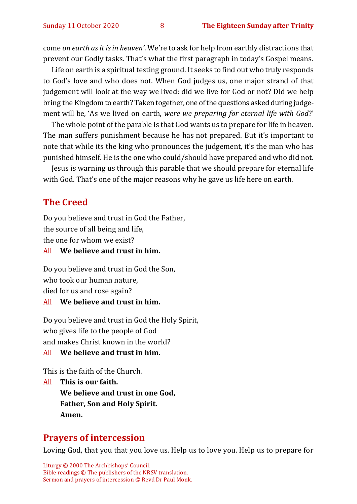come *on earth as it is in heaven'*. We're to ask for help from earthly distractions that prevent our Godly tasks. That's what the first paragraph in today's Gospel means.

Life on earth is a spiritual testing ground. It seeks to find out who truly responds to God's love and who does not. When God judges us, one major strand of that judgement will look at the way we lived: did we live for God or not? Did we help bring the Kingdom to earth? Taken together, one of the questions asked during judgement will be, 'As we lived on earth, *were we preparing for eternal life with God*?'

The whole point of the parable is that God wants us to prepare for life in heaven. The man suffers punishment because he has not prepared. But it's important to note that while its the king who pronounces the judgement, it's the man who has punished himself. He is the one who could/should have prepared and who did not.

Jesus is warning us through this parable that we should prepare for eternal life with God. That's one of the major reasons why he gave us life here on earth.

#### **The Creed**

Do you believe and trust in God the Father, the source of all being and life,

the one for whom we exist?

All **We believe and trust in him.**

Do you believe and trust in God the Son, who took our human nature, died for us and rose again?

#### All **We believe and trust in him.**

Do you believe and trust in God the Holy Spirit, who gives life to the people of God and makes Christ known in the world?

#### All **We believe and trust in him.**

This is the faith of the Church.

All **This is our faith. We believe and trust in one God, Father, Son and Holy Spirit. Amen.**

#### **Prayers of intercession**

Loving God, that you that you love us. Help us to love you. Help us to prepare for

Liturgy © 2000 The Archbishops' Council. Bible readings © The publishers of the NRSV translation. Sermon and prayers of intercession © Revd Dr Paul Monk.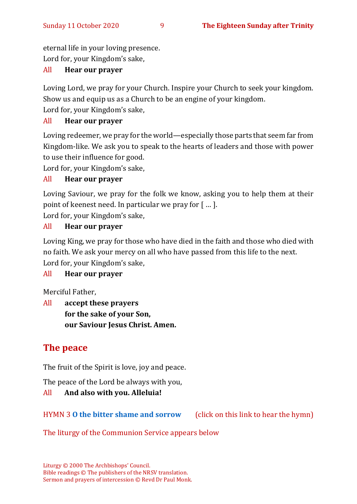eternal life in your loving presence. Lord for, your Kingdom's sake,

#### All **Hear our prayer**

Loving Lord, we pray for your Church. Inspire your Church to seek your kingdom. Show us and equip us as a Church to be an engine of your kingdom.

Lord for, your Kingdom's sake,

#### All **Hear our prayer**

Loving redeemer, we pray for the world—especially those parts that seem far from Kingdom-like. We ask you to speak to the hearts of leaders and those with power to use their influence for good.

Lord for, your Kingdom's sake,

#### All **Hear our prayer**

Loving Saviour, we pray for the folk we know, asking you to help them at their point of keenest need. In particular we pray for [ … ].

Lord for, your Kingdom's sake,

#### All **Hear our prayer**

Loving King, we pray for those who have died in the faith and those who died with no faith. We ask your mercy on all who have passed from this life to the next. Lord for, your Kingdom's sake,

#### All **Hear our prayer**

Merciful Father,

All **accept these prayers for the sake of your Son, our Saviour Jesus Christ. Amen.**

## **The peace**

The fruit of the Spirit is love, joy and peace.

The peace of the Lord be always with you,

#### All **And also with you. Alleluia!**

HYMN 3 **[O the bitter shame and sorrow](https://www.youtube.com/watch?v=vJbzqbiZ7JA)** (click on this link to hear the hymn)

The liturgy of the Communion Service appears below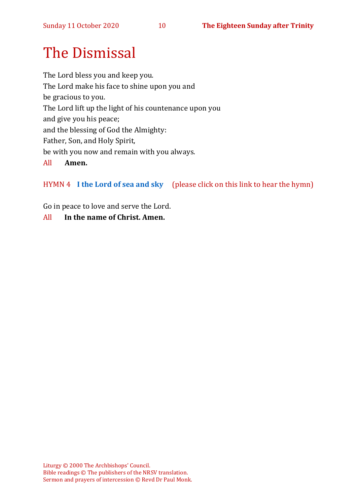# The Dismissal

The Lord bless you and keep you. The Lord make his face to shine upon you and be gracious to you. The Lord lift up the light of his countenance upon you and give you his peace; and the blessing of God the Almighty: Father, Son, and Holy Spirit, be with you now and remain with you always. All **Amen.**

HYMN 4 **[I the Lord of sea and sky](https://youtu.be/EcxOkht8w7c)** (please click on this link to hear the hymn)

Go in peace to love and serve the Lord.

All **In the name of Christ. Amen.**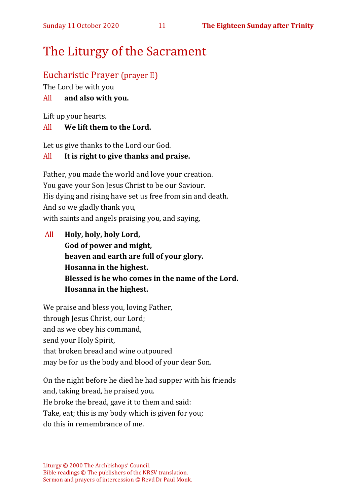## The Liturgy of the Sacrament

### Eucharistic Prayer (prayer E)

The Lord be with you

#### All **and also with you.**

Lift up your hearts.

#### All **We lift them to the Lord.**

Let us give thanks to the Lord our God.

#### All **It is right to give thanks and praise.**

Father, you made the world and love your creation. You gave your Son Jesus Christ to be our Saviour. His dying and rising have set us free from sin and death. And so we gladly thank you, with saints and angels praising you, and saying,

All **Holy, holy, holy Lord, God of power and might, heaven and earth are full of your glory. Hosanna in the highest. Blessed is he who comes in the name of the Lord. Hosanna in the highest.**

We praise and bless you, loving Father, through Jesus Christ, our Lord; and as we obey his command, send your Holy Spirit, that broken bread and wine outpoured may be for us the body and blood of your dear Son.

On the night before he died he had supper with his friends and, taking bread, he praised you. He broke the bread, gave it to them and said: Take, eat; this is my body which is given for you; do this in remembrance of me.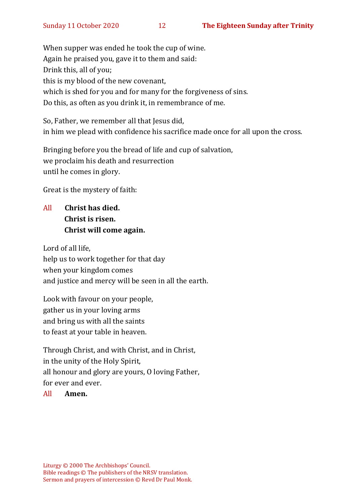When supper was ended he took the cup of wine. Again he praised you, gave it to them and said: Drink this, all of you; this is my blood of the new covenant, which is shed for you and for many for the forgiveness of sins. Do this, as often as you drink it, in remembrance of me.

So, Father, we remember all that Jesus did, in him we plead with confidence his sacrifice made once for all upon the cross.

Bringing before you the bread of life and cup of salvation, we proclaim his death and resurrection until he comes in glory.

Great is the mystery of faith:

All **Christ has died. Christ is risen. Christ will come again.**

Lord of all life, help us to work together for that day when your kingdom comes and justice and mercy will be seen in all the earth.

Look with favour on your people, gather us in your loving arms and bring us with all the saints to feast at your table in heaven.

Through Christ, and with Christ, and in Christ, in the unity of the Holy Spirit, all honour and glory are yours, O loving Father, for ever and ever.

#### All **Amen.**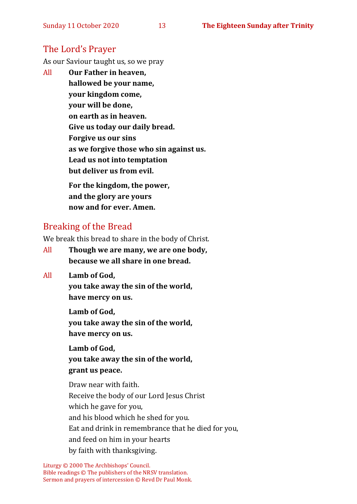#### The Lord's Prayer

As our Saviour taught us, so we pray

All **Our Father in heaven, hallowed be your name, your kingdom come, your will be done, on earth as in heaven. Give us today our daily bread. Forgive us our sins as we forgive those who sin against us. Lead us not into temptation but deliver us from evil. For the kingdom, the power,** 

**and the glory are yours now and for ever. Amen.**

### Breaking of the Bread

We break this bread to share in the body of Christ.

- All **Though we are many, we are one body, because we all share in one bread.**
- All **Lamb of God,**

**you take away the sin of the world, have mercy on us.**

**Lamb of God, you take away the sin of the world, have mercy on us.**

**Lamb of God, you take away the sin of the world, grant us peace.**

Draw near with faith. Receive the body of our Lord Jesus Christ which he gave for you, and his blood which he shed for you. Eat and drink in remembrance that he died for you, and feed on him in your hearts by faith with thanksgiving.